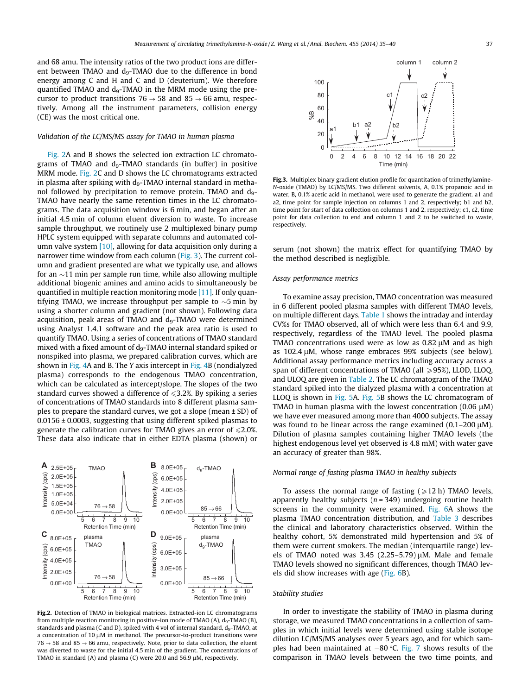and 68 amu. The intensity ratios of the two product ions are differ-<br>
and 68 amu. The intensity ratios of the two product ions are different between TMAO and d<sub>9</sub>-TMAO due to the difference in bond energy among C and H and C and D (deuterium). We therefore  $100$ quantified TMAO and d<sub>9</sub>-TMAO in the MRM mode using the precursor to product transitions  $76 \rightarrow 58$  and  $85 \rightarrow 66$  amu, respectively. Among all the instrument parameters, collision energy (CE) was the most critical one.

# Validation of the LC/MS/MS assay for TMAO in human plasma

Fig. 2A and B shows the selected ion extraction LC chromatograms of TMAO and  $d_9$ -TMAO standards (in buffer) in positive MRM mode. Fig. 2C and D shows the LC chromatograms extracted in plasma after spiking with  $d_9$ -TMAO internal standard in methanol followed by precipitation to remove protein. TMAO and d<sub>9</sub>-TMAO have nearly the same retention times in the LC chromatograms. The data acquisition window is 6 min, and began after an initial 4.5 min of column eluent diversion to waste. To increase sample throughput, we routinely use 2 multiplexed binary pump HPLC system equipped with separate columns and automated column valve system [\[10\],](#page-5-0) allowing for data acquisition only during a narrower time window from each column (Fig. 3). The current column and gradient presented are what we typically use, and allows for an  $\sim$ 11 min per sample run time, while also allowing multiple additional biogenic amines and amino acids to simultaneously be quantified in multiple reaction monitoring mode [\[11\].](#page-5-0) If only quantifying TMAO, we increase throughput per sample to  $\sim$ 5 min by using a shorter column and gradient (not shown). Following data acquisition, peak areas of TMAO and  $d_9$ -TMAO were determined using Analyst 1.4.1 software and the peak area ratio is used to quantify TMAO. Using a series of concentrations of TMAO standard mixed with a fixed amount of  $d_9$ -TMAO internal standard spiked or nonspiked into plasma, we prepared calibration curves, which are shown in [Fig.](#page-3-0) 4A and B. The Y axis intercept in [Fig.](#page-3-0) 4B (nondialyzed plasma) corresponds to the endogenous TMAO concentration, which can be calculated as intercept/slope. The slopes of the two standard curves showed a difference of  $\leqslant$  3.2%. By spiking a series of concentrations of TMAO standards into 8 different plasma samples to prepare the standard curves, we got a slope (mean  $\pm$  SD) of 0.0156 ± 0.0003, suggesting that using different spiked plasmas to generate the calibration curves for TMAO gives an error of  $\leq 2.0\%$ . These data also indicate that in either EDTA plasma (shown) or



Fig.2. Detection of TMAO in biological matrices. Extracted-ion LC chromatograms from multiple reaction monitoring in positive-ion mode of TMAO (A),  $d_9$ -TMAO (B), standards and plasma (C and D), spiked with 4 vol of internal standard,  $d_9$ -TMAO, at a concentration of 10  $\mu$ M in methanol. The precursor-to-product transitions were  $76 \rightarrow 58$  and  $85 \rightarrow 66$  amu, respectively. Note, prior to data collection, the eluent was diverted to waste for the initial 4.5 min of the gradient. The concentrations of TMAO in standard  $(A)$  and plasma  $(C)$  were 20.0 and 56.9  $\mu$ M, respectively.



Fig.3. Multiplex binary gradient elution profile for quantitation of trimethylamine-N-oxide (TMAO) by LC/MS/MS. Two different solvents, A, 0.1% propanoic acid in water, B, 0.1% acetic acid in methanol, were used to generate the gradient. a1 and a2, time point for sample injection on columns 1 and 2, respectively; b1 and b2 time point for start of data collection on columns 1 and 2, respectively; c1, c2, time point for data collection to end and column 1 and 2 to be switched to waste, respectively.

serum (not shown) the matrix effect for quantifying TMAO by the method described is negligible.

## Assay performance metrics

To examine assay precision, TMAO concentration was measured in 6 different pooled plasma samples with different TMAO levels, on multiple different days. [Table](#page-3-0) 1 shows the intraday and interday CV%s for TMAO observed, all of which were less than 6.4 and 9.9, respectively, regardless of the TMAO level. The pooled plasma TMAO concentrations used were as low as  $0.82 \mu$ M and as high as  $102.4 \mu$ M, whose range embraces  $99\%$  subjects (see below). Additional assay performance metrics including accuracy across a span of different concentrations of TMAO (all  $\geq$ 95%), LLOD, LLOQ, and ULOQ are given in [Table](#page-3-0) 2. The LC chromatogram of the TMAO standard spiked into the dialyzed plasma with a concentration at LLOQ is shown in [Fig.](#page-3-0) 5A. [Fig.](#page-3-0) 5B shows the LC chromatogram of TMAO in human plasma with the lowest concentration  $(0.06 \mu M)$ we have ever measured among more than 4000 subjects. The assay was found to be linear across the range examined  $(0.1–200 \mu M)$ . Dilution of plasma samples containing higher TMAO levels (the highest endogenous level yet observed is 4.8 mM) with water gave an accuracy of greater than 98%.

## Normal range of fasting plasma TMAO in healthy subjects

 $4.0E+05$  To assess the normal range of fasting ( $\geq 12$  h) TMAO levels,  $2.0E+05$  apparently healthy subjects (n = 349) undergoing routine health screens in the community were examined. [Fig.](#page-4-0) 6A shows the  $\frac{1}{5}$  6 7 8 9 10  $\frac{1}{5}$  6 7 8 9 10  $\frac{1}{5}$  plasma TMAO concentration distribution, and [Table](#page-4-0) 3 describes<br>Retention Time (min) arthe clinical and laboratory characteristics observed. Within the Retention Time (min) the clinical and laboratory characteristics observed. Within the<br> $\overline{D}_{\text{QOE-05}}$  plasma bealthy cohort 5% demonstrated mild hypertension and 5% of els of TMAO noted was 3.45  $(2.25-5.79)$  µM. Male and female them were current smokers. The median (interquartile range) lev- $\frac{15}{16}$  3.0E+05 and  $\frac{1}{2}$  TMAO levels showed no significant differences, though TMAO levels show increases with age [\(Fig.](#page-4-0) 6B).

## Stability studies

In order to investigate the stability of TMAO in plasma during storage, we measured TMAO concentrations in a collection of samples in which initial levels were determined using stable isotope dilution LC/MS/MS analyses over 5 years ago, and for which samples had been maintained at  $-80$  °C. [Fig.](#page-4-0) 7 shows results of the comparison in TMAO levels between the two time points, and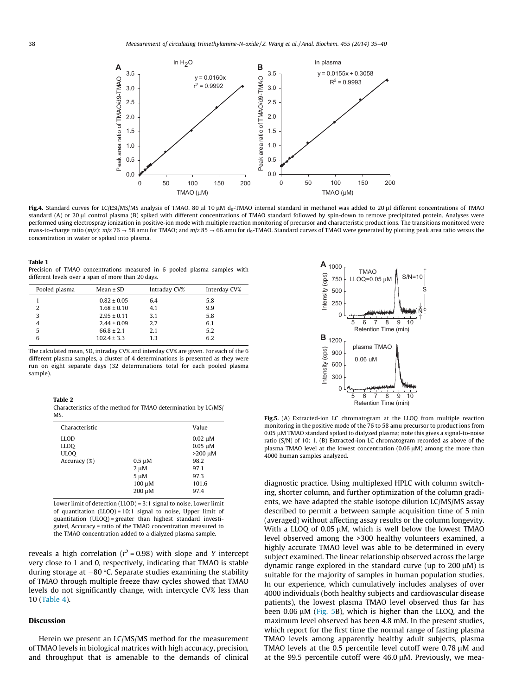<span id="page-3-0"></span>

Fig.4. Standard curves for LC/ESI/MS/MS analysis of TMAO. 80 µl 10 µM d<sub>9</sub>-TMAO internal standard in methanol was added to 20 µl different concentrations of TMAO standard (A) or 20 µl control plasma (B) spiked with different concentrations of TMAO standard followed by spin-down to remove precipitated protein. Analyses were performed using electrospray ionization in positive-ion mode with multiple reaction monitoring of precursor and characteristic product ions. The transitions monitored were mass-to-charge ratio (m/z): m/z 76  $\rightarrow$  58 amu for TMAO; and m/z 85  $\rightarrow$  66 amu for d<sub>9</sub>-TMAO. Standard curves of TMAO were generated by plotting peak area ratio versus the concentration in water or spiked into plasma.

#### Table 1

different levels over a span of more than 20 days.

| Precision of TMAO concentrations measured in 6 pooled plasma samples with<br>different levels over a span of more than 20 days. |                 |              |              | $\cdot$ $\cdot$ 1000 $\cdot$<br><b>TMAO</b><br>(cps)<br>$LLOQ=0.0$<br>750 |
|---------------------------------------------------------------------------------------------------------------------------------|-----------------|--------------|--------------|---------------------------------------------------------------------------|
| Pooled plasma                                                                                                                   | Mean $\pm$ SD   | Intraday CV% | Interday CV% | 500 l<br>sity                                                             |
|                                                                                                                                 | $0.82 \pm 0.05$ | 6.4          | 5.8          | 250                                                                       |
|                                                                                                                                 | $1.68 \pm 0.10$ | 4.1          | 9.9          | Inter<br>الطائف                                                           |
|                                                                                                                                 | $2.95 \pm 0.11$ | 3.1          | 5.8          |                                                                           |
|                                                                                                                                 | $2.44 \pm 0.09$ | 2.7          | 6.1          | 6                                                                         |
|                                                                                                                                 | $66.8 \pm 2.1$  | 2.1          | 5.2          | Retentio                                                                  |
| h                                                                                                                               | $102.4 \pm 3.3$ | 1.3          | 6.2          | в<br>1200.                                                                |

The calculated mean, SD, intraday CV% and interday CV% are given. For each of the 6 different plasma samples, a cluster of 4 determinations is presented as they were run on eight separate days (32 determinations total for each pooled plasma sample).

| Ш |  |
|---|--|
|---|--|

Characteristics of the method for TMAO determination by LC/MS/ MS.

| Characteristic                                            |                                                           | Value                                                                                   |
|-----------------------------------------------------------|-----------------------------------------------------------|-----------------------------------------------------------------------------------------|
| <b>LLOD</b><br><b>LLOO</b><br><b>ULOO</b><br>Accuracy (%) | $0.5 \mu M$<br>$2 \mu M$<br>$5 \mu M$<br>100 μM<br>200 μM | $0.02 \mu M$<br>$0.05 \mu M$<br>$>200$ $\mu$ M<br>98.2<br>97.1<br>97.3<br>101.6<br>97.4 |

Lower limit of detection (LLOD) = 3:1 signal to noise, Lower limit of quantitation (LLOQ) = 10:1 signal to noise, Upper limit of quantitation (ULOQ) = greater than highest standard investigated, Accuracy = ratio of the TMAO concentration measured to the TMAO concentration added to a dialyzed plasma sample.

reveals a high correlation ( $r^2$  = 0.98) with slope and Y intercept very close to 1 and 0, respectively, indicating that TMAO is stable during storage at  $-80$  °C. Separate studies examining the stability of TMAO through multiple freeze thaw cycles showed that TMAO levels do not significantly change, with intercycle CV% less than 10 ([Table](#page-4-0) 4).

# Discussion

Herein we present an LC/MS/MS method for the measurement of TMAO levels in biological matrices with high accuracy, precision, and throughput that is amenable to the demands of clinical



Fig.5. (A) Extracted-ion LC chromatogram at the LLOQ from multiple reaction monitoring in the positive mode of the 76 to 58 amu precursor to product ions from  $0.05 \mu$ M TMAO standard spiked to dialyzed plasma; note this gives a signal-to-noise ratio (S/N) of 10: 1. (B) Extracted-ion LC chromatogram recorded as above of the plasma TMAO level at the lowest concentration  $(0.06 \mu M)$  among the more than 4000 human samples analyzed.

diagnostic practice. Using multiplexed HPLC with column switching, shorter column, and further optimization of the column gradients, we have adapted the stable isotope dilution LC/MS/MS assay described to permit a between sample acquisition time of 5 min (averaged) without affecting assay results or the column longevity. With a LLOQ of 0.05  $\mu$ M, which is well below the lowest TMAO level observed among the >300 healthy volunteers examined, a highly accurate TMAO level was able to be determined in every subject examined. The linear relationship observed across the large dynamic range explored in the standard curve (up to  $200 \mu M$ ) is suitable for the majority of samples in human population studies. In our experience, which cumulatively includes analyses of over 4000 individuals (both healthy subjects and cardiovascular disease patients), the lowest plasma TMAO level observed thus far has been  $0.06 \mu$ M (Fig. 5B), which is higher than the LLOQ, and the maximum level observed has been 4.8 mM. In the present studies, which report for the first time the normal range of fasting plasma TMAO levels among apparently healthy adult subjects, plasma TMAO levels at the  $0.5$  percentile level cutoff were  $0.78 \mu M$  and at the 99.5 percentile cutoff were  $46.0 \mu$ M. Previously, we mea-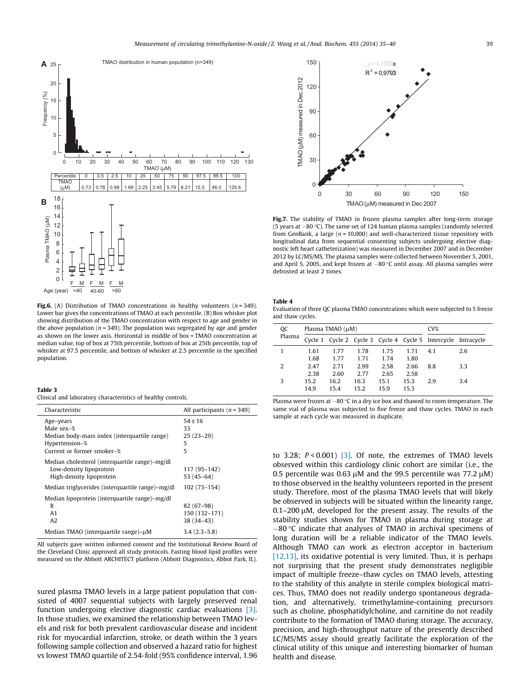<span id="page-4-0"></span>

Fig.6. (A) Distribution of TMAO concentrations in healthy volunteers ( $n = 349$ ). Lower bar gives the concentrations of TMAO at each percentile. (B) Box whisker plot showing distribution of the TMAO concentration with respect to age and gender in the above population ( $n = 349$ ). The population was segregated by age and gender as shown on the lower axis. Horizontal in middle of box = TMAO concentration at median value, top of box at 75th percentile, bottom of box at 25th percentile, top of whisker at 97.5 percentile, and bottom of whisker at 2.5 percentile in the specified population.

#### Table 3

Clinical and laboratory characteristics of healthy controls.

| Characteristic                                                                                                          | All participants ( $n = 349$ )             |
|-------------------------------------------------------------------------------------------------------------------------|--------------------------------------------|
| Age-years<br>Male sex-%<br>Median body-mass index (interquartile range)<br>Hypertension-%<br>Current or former smoker-% | $54 \pm 16$<br>33<br>$25(23-29)$<br>5<br>5 |
| Median cholesterol (interquartile range)-mg/dl<br>Low-density lipoprotein<br>High-density lipoprotein                   | 117 (95-142)<br>$53(45-64)$                |
| Median triglycerides (interquartile range)-mg/dl                                                                        | $102(73 - 154)$                            |
| Median lipoprotein (interquartile range)-mg/dl<br>B<br>A1<br>A2                                                         | 82 (67-98)<br>150 (132-171)<br>38 (34-43)  |
| Median TMAO (interquartile range)-µM                                                                                    | $3.4(2.3-5.8)$                             |

All subjects gave written informed consent and the Institutional Review Board of the Cleveland Clinic approved all study protocols. Fasting blood lipid profiles were measured on the Abbott ARCHITECT platform (Abbott Diagnostics, Abbot Park, IL).

sured plasma TMAO levels in a large patient population that consisted of 4007 sequential subjects with largely preserved renal function undergoing elective diagnostic cardiac evaluations [\[3\].](#page-5-0) In those studies, we examined the relationship between TMAO levels and risk for both prevalent cardiovascular disease and incident risk for myocardial infarction, stroke, or death within the 3 years following sample collection and observed a hazard ratio for highest vs lowest TMAO quartile of 2.54-fold (95% confidence interval, 1.96



Fig.7. The stability of TMAO in frozen plasma samples after long-term storage (5 years at  $-80$  °C). The same set of 124 human plasma samples (randomly selected from GenBank, a large ( $n = 10,000$ ) and well-characterized tissue repository with longitudinal data from sequential consenting subjects undergoing elective diagnostic left heart catheterization) was measured in December 2007 and in December 2012 by LC/MS/MS. The plasma samples were collected between November 5, 2001, and April 5, 2005, and kept frozen at  $-80$  °C until assay. All plasma samples were defrosted at least 2 times.

# Table 4

Evaluation of three QC plasma TMAO concentrations which were subjected to 5 freeze and thaw cycles.

|  | <b>OC</b><br>Plasma | Plasma TMAO (µM) |      |      |      | CV <sub>6</sub> |                                                               |     |
|--|---------------------|------------------|------|------|------|-----------------|---------------------------------------------------------------|-----|
|  |                     |                  |      |      |      |                 | Cycle 1 Cycle 2 Cycle 3 Cycle 4 Cycle 5 Intercycle Intracycle |     |
|  |                     | 1.61             | 1.77 | 1.78 | 1.75 | 1.71            | 4.1                                                           | 2.6 |
|  |                     | 1.68             | 1.77 | 1.71 | 1.74 | 1.80            |                                                               |     |
|  | 2                   | 2.47             | 2.71 | 2.99 | 2.58 | 2.66            | 8.8                                                           | 3.3 |
|  |                     | 2.38             | 2.60 | 2.77 | 2.65 | 2.58            |                                                               |     |
|  | 3                   | 15.2             | 16.2 | 16.3 | 15.1 | 15.3            | 2.9                                                           | 3.4 |
|  |                     | 14.9             | 15.4 | 15.2 | 15.9 | 15.3            |                                                               |     |
|  |                     |                  |      |      |      |                 |                                                               |     |

Plasma were frozen at  $-80$  °C in a dry ice box and thawed to room temperature. The same vial of plasma was subjected to five freeze and thaw cycles. TMAO in each sample at each cycle was measured in duplicate.

to 3.28;  $P < 0.001$  [\[3\]](#page-5-0). Of note, the extremes of TMAO levels observed within this cardiology clinic cohort are similar (i.e., the 0.5 percentile was 0.63  $\mu$ M and the 99.5 percentile was 77.2  $\mu$ M) to those observed in the healthy volunteers reported in the present study. Therefore, most of the plasma TMAO levels that will likely be observed in subjects will be situated within the linearity range,  $0.1$ -200  $\mu$ M, developed for the present assay. The results of the stability studies shown for TMAO in plasma during storage at  $-80$  °C indicate that analyses of TMAO in archival specimens of long duration will be a reliable indicator of the TMAO levels. Although TMAO can work as electron acceptor in bacterium [\[12,13\]](#page-5-0), its oxidative potential is very limited. Thus, it is perhaps not surprising that the present study demonstrates negligible impact of multiple freeze–thaw cycles on TMAO levels, attesting to the stability of this analyte in sterile complex biological matrices. Thus, TMAO does not readily undergo spontaneous degradation, and alternatively, trimethylamine-containing precursors such as choline, phosphatidylcholine, and carnitine do not readily contribute to the formation of TMAO during storage. The accuracy, precision, and high-throughput nature of the presently described LC/MS/MS assay should greatly facilitate the exploration of the clinical utility of this unique and interesting biomarker of human health and disease.